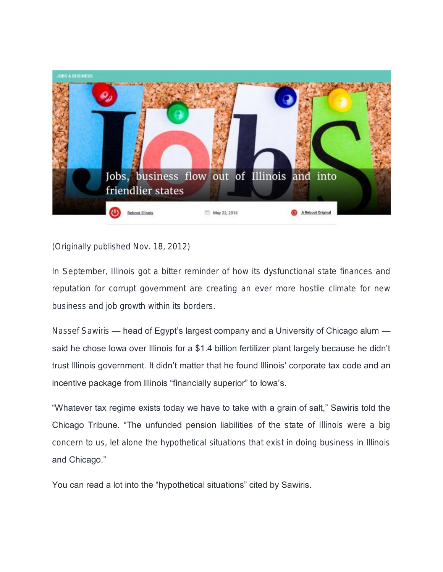

(Originally published Nov. 18, 2012)

In September, Illinois got a bitter reminder of how its dysfunctional state finances and reputation for corrupt government are creating an ever more hostile climate for new business and job growth within its borders.

Nassef Sawiris — head of Egypt's largest company and a University of Chicago alum said he chose lowa over Illinois for a \$1.4 billion fertilizer plant largely because he didn't trust Illinois government. It didn't matter that he found Illinois' corporate tax code and an incentive package from Illinois "financially superior" to Iowa's.

"Whatever tax regime exists today we have to take with a grain of salt," Sawiris told the Chicago Tribune. "The unfunded pension liabilities of the state of Illinois were a big concern to us, let alone the hypothetical situations that exist in doing business in Illinois and Chicago."

You can read a lot into the "hypothetical situations" cited by Sawiris.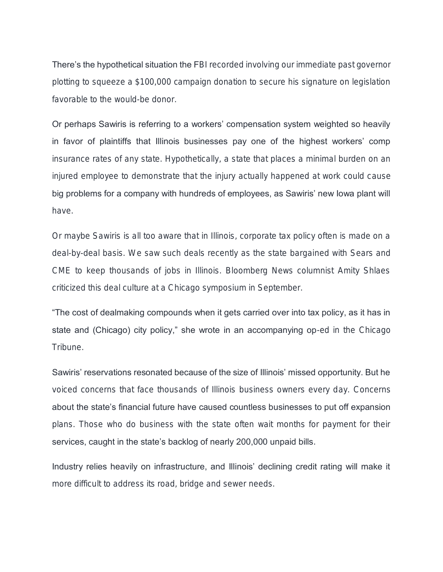There's the hypothetical situation the FBI recorded involving our immediate past governor plotting to squeeze a \$100,000 campaign donation to secure his signature on legislation favorable to the would-be donor.

Or perhaps Sawiris is referring to a workers' compensation system weighted so heavily in favor of plaintiffs that Illinois businesses pay one of the highest workers' comp insurance rates of any state. Hypothetically, a state that places a minimal burden on an injured employee to demonstrate that the injury actually happened at work could cause big problems for a company with hundreds of employees, as Sawiris' new Iowa plant will have.

Or maybe Sawiris is all too aware that in Illinois, corporate tax policy often is made on a deal-by-deal basis. We saw such deals recently as the state bargained with Sears and CME to keep thousands of jobs in Illinois. Bloomberg News columnist Amity Shlaes criticized this deal culture at a Chicago symposium in September.

"The cost of dealmaking compounds when it gets carried over into tax policy, as it has in state and (Chicago) city policy," she wrote in an accompanying op-ed in the Chicago Tribune.

Sawiris' reservations resonated because of the size of Illinois' missed opportunity. But he voiced concerns that face thousands of Illinois business owners every day. Concerns about the state's financial future have caused countless businesses to put off expansion plans. Those who do business with the state often wait months for payment for their services, caught in the state's backlog of nearly 200,000 unpaid bills.

Industry relies heavily on infrastructure, and Illinois' declining credit rating will make it more difficult to address its road, bridge and sewer needs.